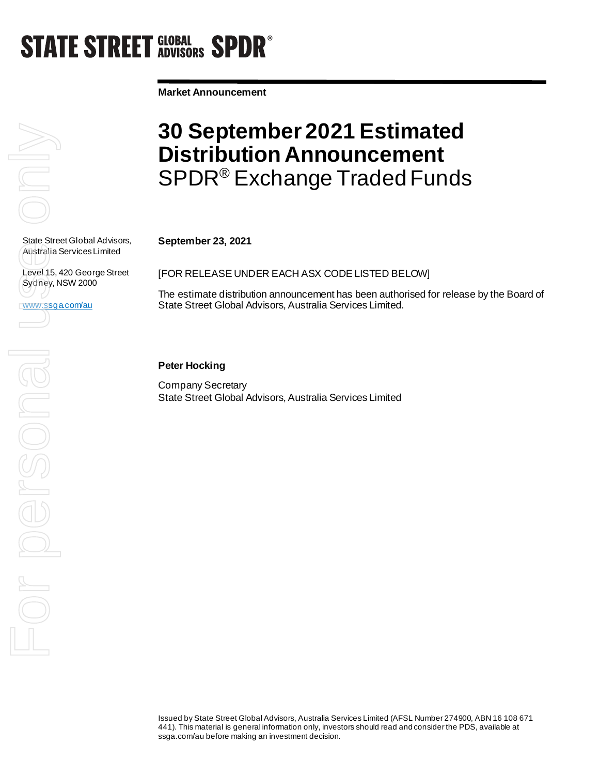# **STATE STREET GLOBAL SPDR®**

**Market Announcement**



State Street Global Advisors, Australia Services Limited

Level 15, 420 George Street Sydney, NSW 2000

www.ssga.com/au

### **30 September 2021 Estimated Distribution Announcement**  SPDR® Exchange Traded Funds

**September 23, 2021**

[FOR RELEASE UNDER EACH ASX CODE LISTED BELOW]

The estimate distribution announcement has been authorised for release by the Board of State Street Global Advisors, Australia Services Limited.

#### **Peter Hocking**

Company Secretary State Street Global Advisors, Australia Services Limited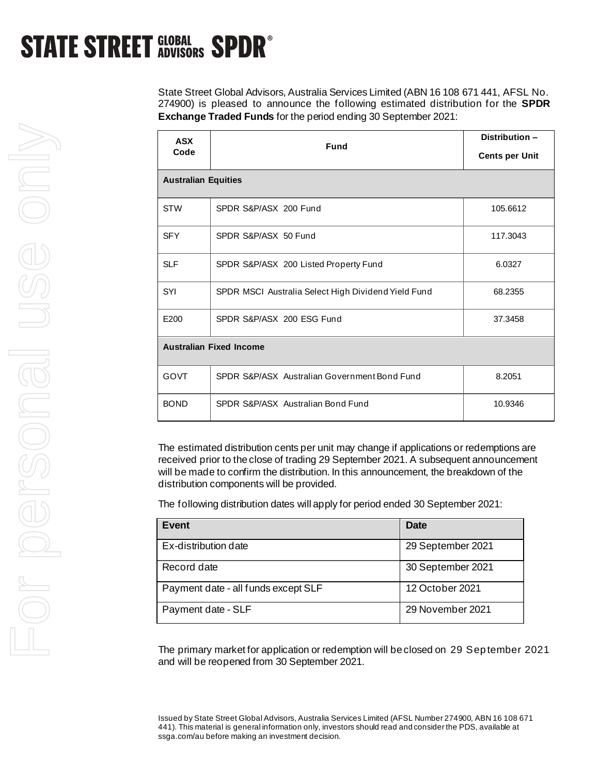## **STATE STREET GLOBAL SPDR<sup>®</sup>**

State Street Global Advisors, Australia Services Limited (ABN 16 108 671 441, AFSL No. 274900) is pleased to announce the following estimated distribution for the **SPDR Exchange Traded Funds** for the period ending 30 September 2021:

| <b>ASX</b><br>Code             | <b>Fund</b>                                         | Distribution-<br><b>Cents per Unit</b> |  |
|--------------------------------|-----------------------------------------------------|----------------------------------------|--|
| <b>Australian Equities</b>     |                                                     |                                        |  |
| <b>STW</b>                     | SPDR S&P/ASX 200 Fund                               | 105.6612                               |  |
| <b>SFY</b>                     | SPDR S&P/ASX 50 Fund                                | 117.3043                               |  |
| <b>SLF</b>                     | SPDR S&P/ASX 200 Listed Property Fund               | 6.0327                                 |  |
| SYI                            | SPDR MSCI Australia Select High Dividend Yield Fund | 68.2355                                |  |
| E200                           | SPDR S&P/ASX 200 ESG Fund                           | 37.3458                                |  |
| <b>Australian Fixed Income</b> |                                                     |                                        |  |
| <b>GOVT</b>                    | SPDR S&P/ASX Australian Government Bond Fund        | 8.2051                                 |  |
| <b>BOND</b>                    | SPDR S&P/ASX Australian Bond Fund                   | 10.9346                                |  |

The estimated distribution cents per unit may change if applications or redemptions are received prior to the close of trading 29 September 2021. A subsequent announcement will be made to confirm the distribution. In this announcement, the breakdown of the distribution components will be provided.

The following distribution dates will apply for period ended 30 September 2021:

| Event                               | <b>Date</b>       |
|-------------------------------------|-------------------|
| Ex-distribution date                | 29 September 2021 |
| Record date                         | 30 September 2021 |
| Payment date - all funds except SLF | 12 October 2021   |
| Payment date - SLF                  | 29 November 2021  |

The primary market for application or redemption will be closed on 29 September 2021 and will be reopened from 30 September 2021.

Issued by State Street Global Advisors, Australia Services Limited (AFSL Number 274900, ABN 16 108 671 441). This material is general information only, investors should read and consider the PDS, available at ssga.com/au before making an investment decision.